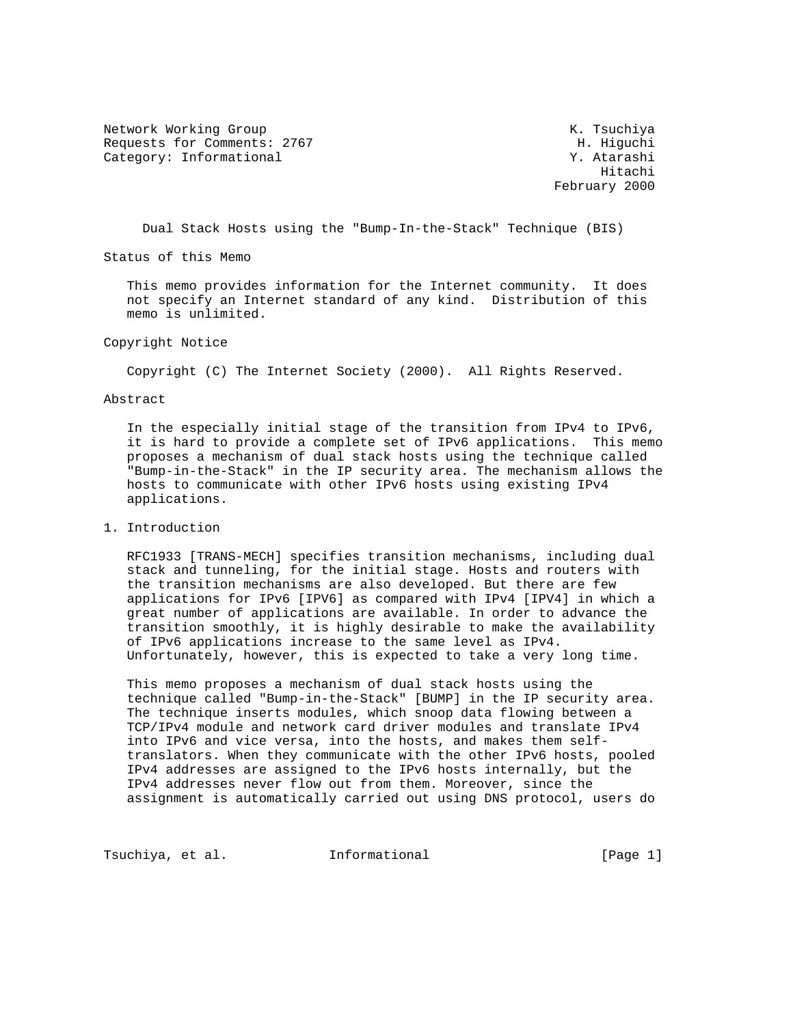Network Working Group and Month Communications of the Month Communications of the Month Communications of the Month Communications of the Month Communications of the Month Communications of the Month Communications of the Requests for Comments: 2767 H. Higuchi Category: Informational 7. Atarashi

 Hitachi February 2000

Dual Stack Hosts using the "Bump-In-the-Stack" Technique (BIS)

Status of this Memo

 This memo provides information for the Internet community. It does not specify an Internet standard of any kind. Distribution of this memo is unlimited.

Copyright Notice

Copyright (C) The Internet Society (2000). All Rights Reserved.

Abstract

 In the especially initial stage of the transition from IPv4 to IPv6, it is hard to provide a complete set of IPv6 applications. This memo proposes a mechanism of dual stack hosts using the technique called "Bump-in-the-Stack" in the IP security area. The mechanism allows the hosts to communicate with other IPv6 hosts using existing IPv4 applications.

1. Introduction

 RFC1933 [TRANS-MECH] specifies transition mechanisms, including dual stack and tunneling, for the initial stage. Hosts and routers with the transition mechanisms are also developed. But there are few applications for IPv6 [IPV6] as compared with IPv4 [IPV4] in which a great number of applications are available. In order to advance the transition smoothly, it is highly desirable to make the availability of IPv6 applications increase to the same level as IPv4. Unfortunately, however, this is expected to take a very long time.

 This memo proposes a mechanism of dual stack hosts using the technique called "Bump-in-the-Stack" [BUMP] in the IP security area. The technique inserts modules, which snoop data flowing between a TCP/IPv4 module and network card driver modules and translate IPv4 into IPv6 and vice versa, into the hosts, and makes them self translators. When they communicate with the other IPv6 hosts, pooled IPv4 addresses are assigned to the IPv6 hosts internally, but the IPv4 addresses never flow out from them. Moreover, since the assignment is automatically carried out using DNS protocol, users do

Tsuchiya, et al. Informational [Page 1]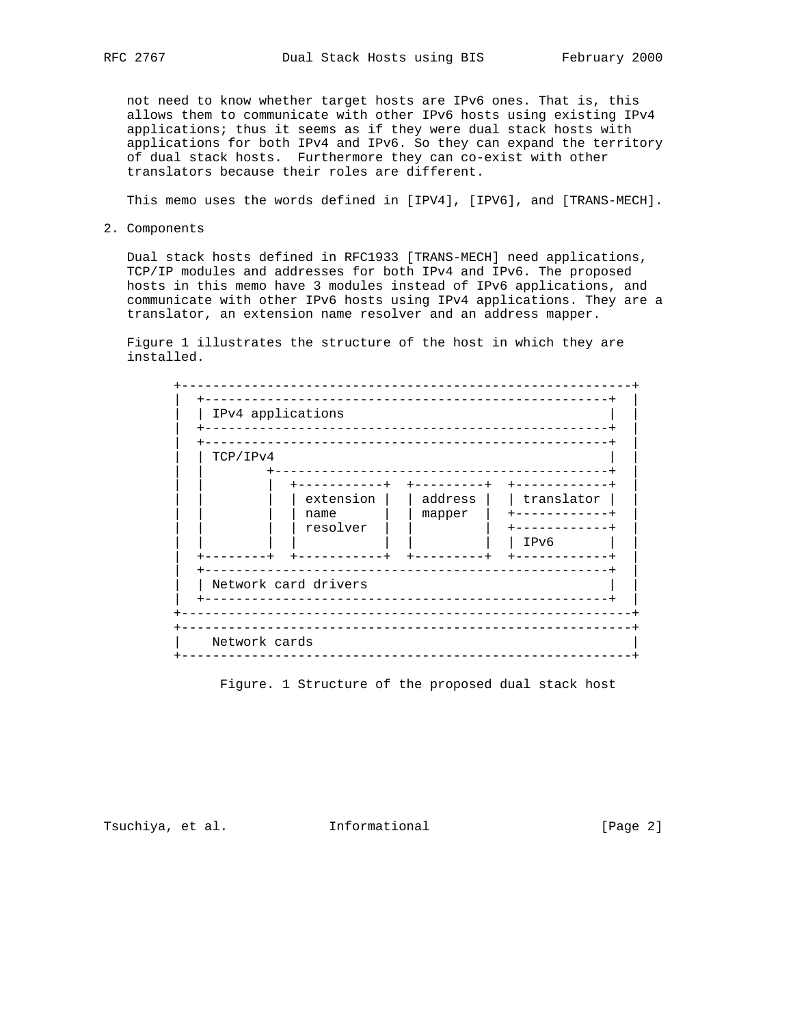not need to know whether target hosts are IPv6 ones. That is, this allows them to communicate with other IPv6 hosts using existing IPv4 applications; thus it seems as if they were dual stack hosts with applications for both IPv4 and IPv6. So they can expand the territory of dual stack hosts. Furthermore they can co-exist with other translators because their roles are different.

This memo uses the words defined in [IPV4], [IPV6], and [TRANS-MECH].

2. Components

 Dual stack hosts defined in RFC1933 [TRANS-MECH] need applications, TCP/IP modules and addresses for both IPv4 and IPv6. The proposed hosts in this memo have 3 modules instead of IPv6 applications, and communicate with other IPv6 hosts using IPv4 applications. They are a translator, an extension name resolver and an address mapper.

 Figure 1 illustrates the structure of the host in which they are installed.



Figure. 1 Structure of the proposed dual stack host

Tsuchiya, et al. 1nformational 1999 [Page 2]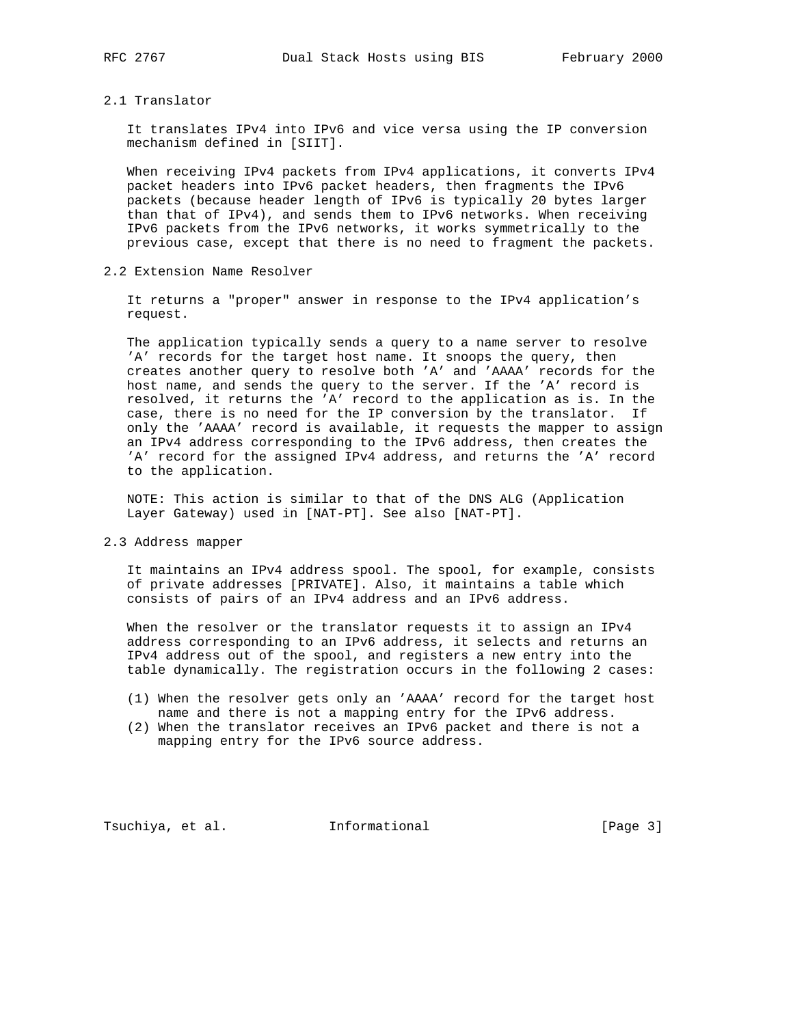## 2.1 Translator

 It translates IPv4 into IPv6 and vice versa using the IP conversion mechanism defined in [SIIT].

 When receiving IPv4 packets from IPv4 applications, it converts IPv4 packet headers into IPv6 packet headers, then fragments the IPv6 packets (because header length of IPv6 is typically 20 bytes larger than that of IPv4), and sends them to IPv6 networks. When receiving IPv6 packets from the IPv6 networks, it works symmetrically to the previous case, except that there is no need to fragment the packets.

## 2.2 Extension Name Resolver

 It returns a "proper" answer in response to the IPv4 application's request.

 The application typically sends a query to a name server to resolve 'A' records for the target host name. It snoops the query, then creates another query to resolve both 'A' and 'AAAA' records for the host name, and sends the query to the server. If the 'A' record is resolved, it returns the 'A' record to the application as is. In the case, there is no need for the IP conversion by the translator. If only the 'AAAA' record is available, it requests the mapper to assign an IPv4 address corresponding to the IPv6 address, then creates the 'A' record for the assigned IPv4 address, and returns the 'A' record to the application.

 NOTE: This action is similar to that of the DNS ALG (Application Layer Gateway) used in [NAT-PT]. See also [NAT-PT].

2.3 Address mapper

 It maintains an IPv4 address spool. The spool, for example, consists of private addresses [PRIVATE]. Also, it maintains a table which consists of pairs of an IPv4 address and an IPv6 address.

 When the resolver or the translator requests it to assign an IPv4 address corresponding to an IPv6 address, it selects and returns an IPv4 address out of the spool, and registers a new entry into the table dynamically. The registration occurs in the following 2 cases:

- (1) When the resolver gets only an 'AAAA' record for the target host name and there is not a mapping entry for the IPv6 address.
- (2) When the translator receives an IPv6 packet and there is not a mapping entry for the IPv6 source address.

Tsuchiya, et al. **Informational** [Page 3]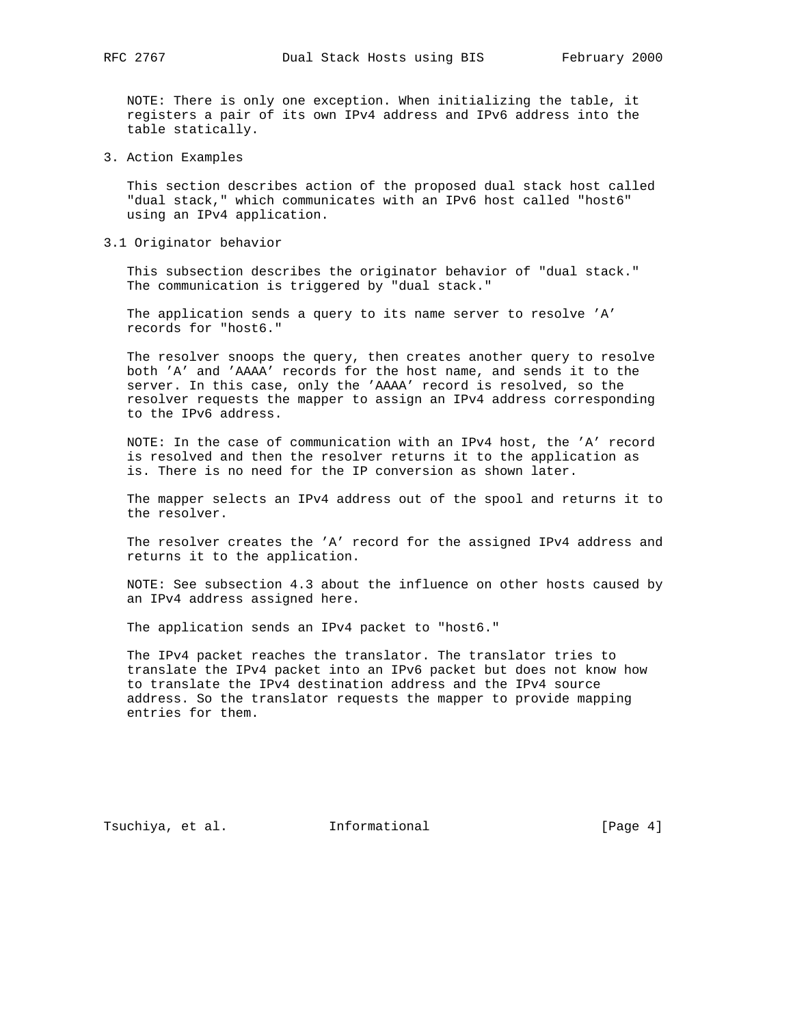NOTE: There is only one exception. When initializing the table, it registers a pair of its own IPv4 address and IPv6 address into the table statically.

3. Action Examples

 This section describes action of the proposed dual stack host called "dual stack," which communicates with an IPv6 host called "host6" using an IPv4 application.

3.1 Originator behavior

 This subsection describes the originator behavior of "dual stack." The communication is triggered by "dual stack."

 The application sends a query to its name server to resolve 'A' records for "host6."

 The resolver snoops the query, then creates another query to resolve both 'A' and 'AAAA' records for the host name, and sends it to the server. In this case, only the 'AAAA' record is resolved, so the resolver requests the mapper to assign an IPv4 address corresponding to the IPv6 address.

 NOTE: In the case of communication with an IPv4 host, the 'A' record is resolved and then the resolver returns it to the application as is. There is no need for the IP conversion as shown later.

 The mapper selects an IPv4 address out of the spool and returns it to the resolver.

 The resolver creates the 'A' record for the assigned IPv4 address and returns it to the application.

 NOTE: See subsection 4.3 about the influence on other hosts caused by an IPv4 address assigned here.

The application sends an IPv4 packet to "host6."

 The IPv4 packet reaches the translator. The translator tries to translate the IPv4 packet into an IPv6 packet but does not know how to translate the IPv4 destination address and the IPv4 source address. So the translator requests the mapper to provide mapping entries for them.

Tsuchiya, et al. 1nformational 1999 [Page 4]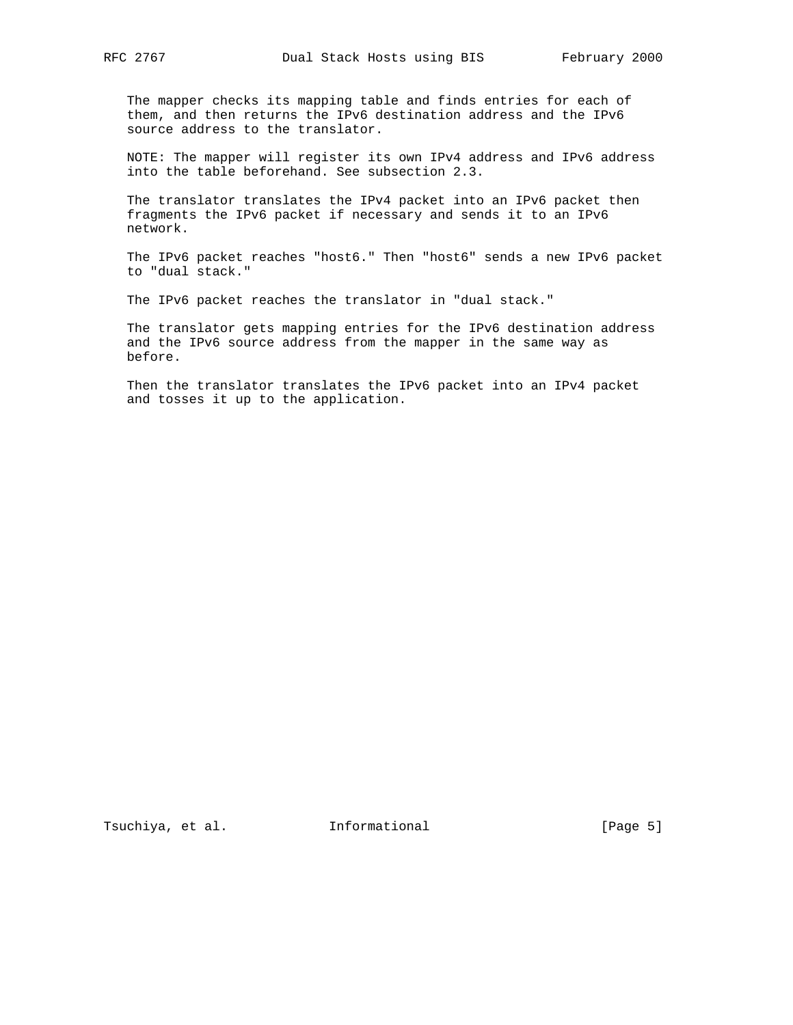The mapper checks its mapping table and finds entries for each of them, and then returns the IPv6 destination address and the IPv6 source address to the translator.

 NOTE: The mapper will register its own IPv4 address and IPv6 address into the table beforehand. See subsection 2.3.

 The translator translates the IPv4 packet into an IPv6 packet then fragments the IPv6 packet if necessary and sends it to an IPv6 network.

 The IPv6 packet reaches "host6." Then "host6" sends a new IPv6 packet to "dual stack."

The IPv6 packet reaches the translator in "dual stack."

 The translator gets mapping entries for the IPv6 destination address and the IPv6 source address from the mapper in the same way as before.

 Then the translator translates the IPv6 packet into an IPv4 packet and tosses it up to the application.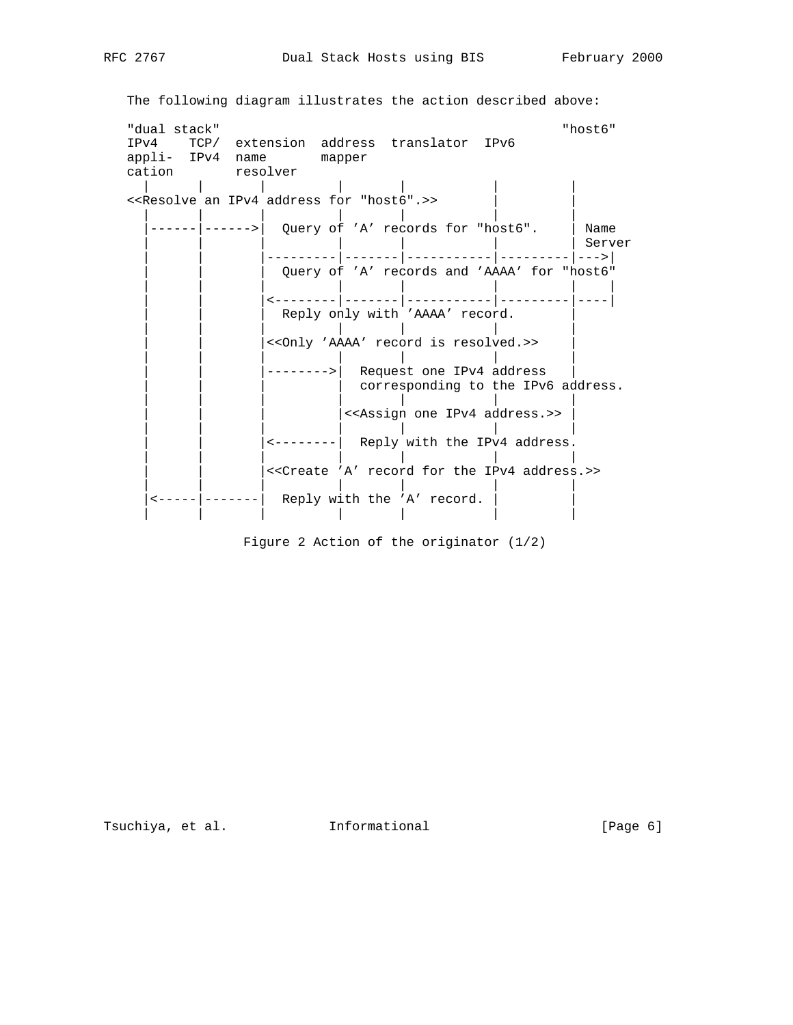```
 The following diagram illustrates the action described above:
  "dual stack" "host6"
IPv4 TCP/ extension address translator IPv6
appli- IPv4 name mapper
  cation resolver
   | | | | | | |
 <<Resolve an IPv4 address for "host6".>>
| | | | | | |
|------|------>| Query of 'A' records for "host6". | Name
                                                 | Server
                | | |---------|-------|-----------|---------|--->|
                Query of 'A' records and 'AAAA' for "host6"
| | | | | | | |
                | | |<--------|-------|-----------|---------|----|
                Reply only with 'AAAA' record.
| | | | | | |
                 | | |<<Only 'AAAA' record is resolved.>> |
| | | | | | |
                -------->| Request one IPv4 address
                        | corresponding to the IPv6 address.
| | | | | | |
                       |<<Assign one IPv4 address.>>
| | | | | | |
                \left| \left( \text{length} \right) \right| Reply with the IPv4 address.
| | | | | | |
                 | | |<<Create 'A' record for the IPv4 address.>>
| | | | | | |
   \left| \left| \left| \left| \left| \left| \left| \right| \right| \right| \right| \right| \right| \right| = \left| \left| \left| \left| \left| \left| \right| \right| \right| \right| \right| \right| Reply with the 'A' record.
                       | | | | | | |
```
Figure 2 Action of the originator (1/2)

Tsuchiya, et al. 1nformational 1999 [Page 6]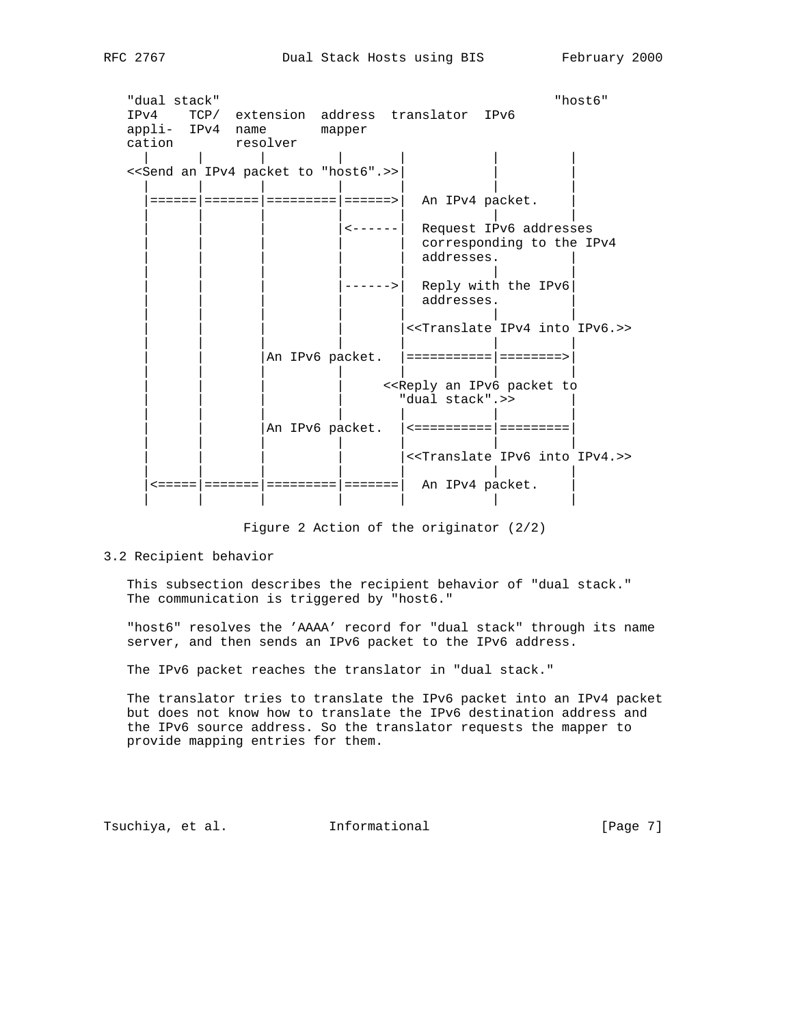"dual stack" "host6" IPv4 TCP/ extension address translator IPv6 appli- IPv4 name mapper cation resolver | | | | | | | <<Send an IPv4 packet to "host6".>>| | | | | | | | | | |======|=======|=========|======>| An IPv4 packet. | | | | | | | | | <------ | Request IPv6 addresses corresponding to the IPv4 addresses. | | | | | | | | | | | | |------>| Reply with the IPv6| | | | | | | | addresses. | | | | | | | | |<<Translate IPv4 into IPv6.>> | | | | | | | | | |An IPv6 packet. |===========|========>| | | | | | | | <<Reply an IPv6 packet to " dual stack".>> | | | | | | | | | |An IPv6 packet. |<==========|=========| | | | | | | | |<<Translate IPv6 into IPv4.>> | | | | | | | |<=====|=======|=========|=======| An IPv4 packet. | | | | | | | |

Figure 2 Action of the originator (2/2)

3.2 Recipient behavior

 This subsection describes the recipient behavior of "dual stack." The communication is triggered by "host6."

 "host6" resolves the 'AAAA' record for "dual stack" through its name server, and then sends an IPv6 packet to the IPv6 address.

The IPv6 packet reaches the translator in "dual stack."

 The translator tries to translate the IPv6 packet into an IPv4 packet but does not know how to translate the IPv6 destination address and the IPv6 source address. So the translator requests the mapper to provide mapping entries for them.

Tsuchiya, et al. **Informational** [Page 7]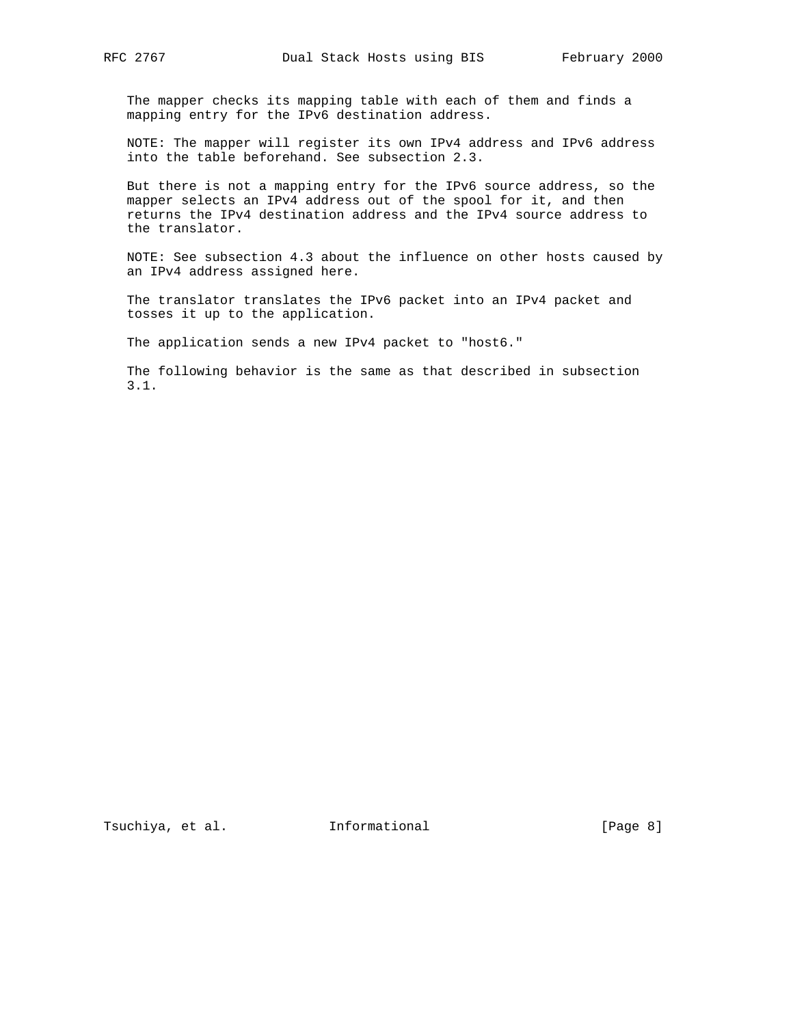The mapper checks its mapping table with each of them and finds a mapping entry for the IPv6 destination address.

 NOTE: The mapper will register its own IPv4 address and IPv6 address into the table beforehand. See subsection 2.3.

 But there is not a mapping entry for the IPv6 source address, so the mapper selects an IPv4 address out of the spool for it, and then returns the IPv4 destination address and the IPv4 source address to the translator.

 NOTE: See subsection 4.3 about the influence on other hosts caused by an IPv4 address assigned here.

 The translator translates the IPv6 packet into an IPv4 packet and tosses it up to the application.

The application sends a new IPv4 packet to "host6."

 The following behavior is the same as that described in subsection 3.1.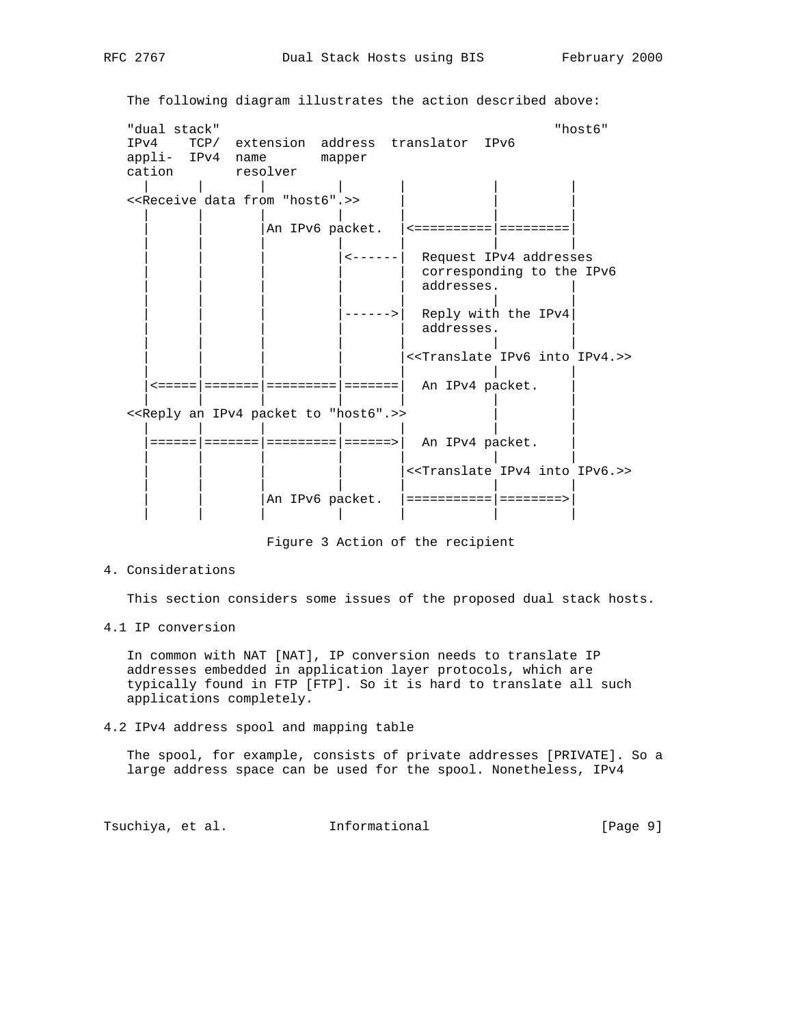The following diagram illustrates the action described above: "dual stack" "host6" IPv4 TCP/ extension address translator IPv6 appli- IPv4 name mapper cation resolver | | | | | | | << Receive data from "host6".>> | | | | | | | | | |An IPv6 packet. |<==========|=========| | | | | | | | | | | |<------| Request IPv4 addresses corresponding to the IPv6 addresses. | | | | | | |  $|$  ------>  $|$  Reply with the IPv4 addresses. | | | | | | |  $|$  << Translate IPv6 into IPv4.>> | | | | | | |  $\epsilon$ =====|======|========|========| An IPv4 packet. | | | | | | | <<Reply an IPv4 packet to "host6".>> | | | | | | |  $|$  ====== $|$  =====================>| An IPv4 packet. | | | | | | | | | | | |<<Translate IPv4 into IPv6.>> | | | | | | | | | |An IPv6 packet. |===========|========>| | | | | | | |

Figure 3 Action of the recipient

4. Considerations

This section considers some issues of the proposed dual stack hosts.

4.1 IP conversion

 In common with NAT [NAT], IP conversion needs to translate IP addresses embedded in application layer protocols, which are typically found in FTP [FTP]. So it is hard to translate all such applications completely.

4.2 IPv4 address spool and mapping table

 The spool, for example, consists of private addresses [PRIVATE]. So a large address space can be used for the spool. Nonetheless, IPv4

Tsuchiya, et al. 1nformational 1999 [Page 9]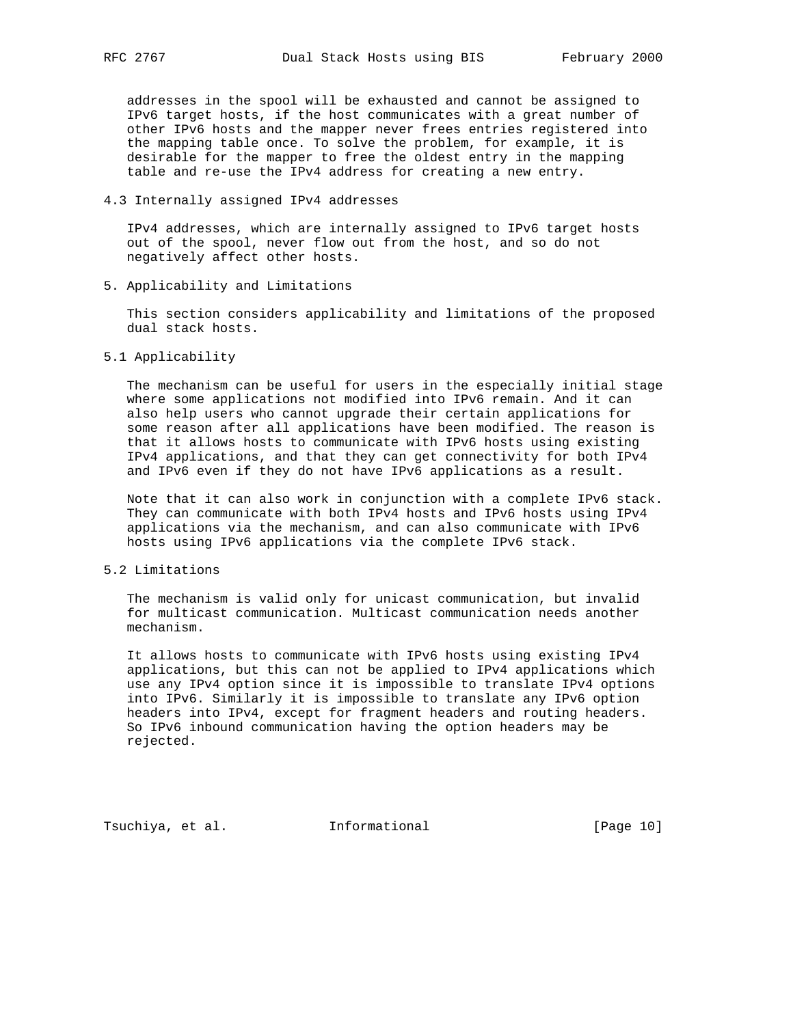addresses in the spool will be exhausted and cannot be assigned to IPv6 target hosts, if the host communicates with a great number of other IPv6 hosts and the mapper never frees entries registered into the mapping table once. To solve the problem, for example, it is desirable for the mapper to free the oldest entry in the mapping table and re-use the IPv4 address for creating a new entry.

4.3 Internally assigned IPv4 addresses

 IPv4 addresses, which are internally assigned to IPv6 target hosts out of the spool, never flow out from the host, and so do not negatively affect other hosts.

5. Applicability and Limitations

 This section considers applicability and limitations of the proposed dual stack hosts.

5.1 Applicability

 The mechanism can be useful for users in the especially initial stage where some applications not modified into IPv6 remain. And it can also help users who cannot upgrade their certain applications for some reason after all applications have been modified. The reason is that it allows hosts to communicate with IPv6 hosts using existing IPv4 applications, and that they can get connectivity for both IPv4 and IPv6 even if they do not have IPv6 applications as a result.

 Note that it can also work in conjunction with a complete IPv6 stack. They can communicate with both IPv4 hosts and IPv6 hosts using IPv4 applications via the mechanism, and can also communicate with IPv6 hosts using IPv6 applications via the complete IPv6 stack.

5.2 Limitations

 The mechanism is valid only for unicast communication, but invalid for multicast communication. Multicast communication needs another mechanism.

 It allows hosts to communicate with IPv6 hosts using existing IPv4 applications, but this can not be applied to IPv4 applications which use any IPv4 option since it is impossible to translate IPv4 options into IPv6. Similarly it is impossible to translate any IPv6 option headers into IPv4, except for fragment headers and routing headers. So IPv6 inbound communication having the option headers may be rejected.

Tsuchiya, et al. 1nformational 1999 [Page 10]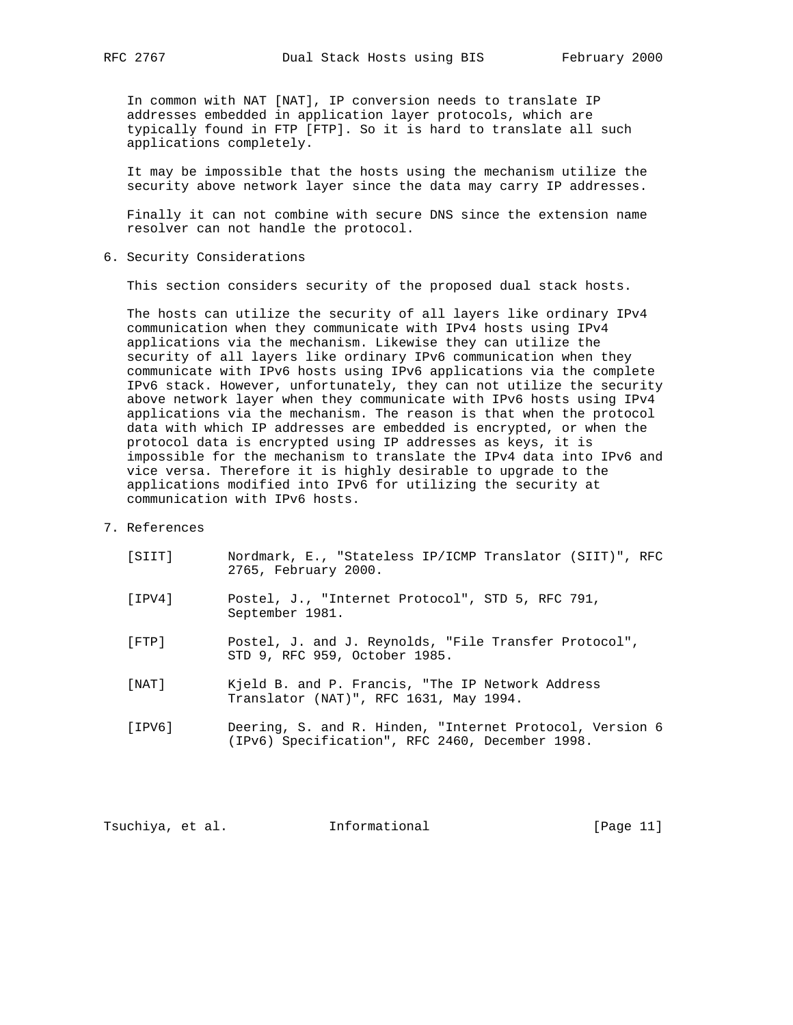In common with NAT [NAT], IP conversion needs to translate IP addresses embedded in application layer protocols, which are typically found in FTP [FTP]. So it is hard to translate all such applications completely.

 It may be impossible that the hosts using the mechanism utilize the security above network layer since the data may carry IP addresses.

 Finally it can not combine with secure DNS since the extension name resolver can not handle the protocol.

6. Security Considerations

This section considers security of the proposed dual stack hosts.

 The hosts can utilize the security of all layers like ordinary IPv4 communication when they communicate with IPv4 hosts using IPv4 applications via the mechanism. Likewise they can utilize the security of all layers like ordinary IPv6 communication when they communicate with IPv6 hosts using IPv6 applications via the complete IPv6 stack. However, unfortunately, they can not utilize the security above network layer when they communicate with IPv6 hosts using IPv4 applications via the mechanism. The reason is that when the protocol data with which IP addresses are embedded is encrypted, or when the protocol data is encrypted using IP addresses as keys, it is impossible for the mechanism to translate the IPv4 data into IPv6 and vice versa. Therefore it is highly desirable to upgrade to the applications modified into IPv6 for utilizing the security at communication with IPv6 hosts.

7. References

| [SIIT] | Nordmark, E., "Stateless IP/ICMP Translator (SIIT)", RFC<br>2765, February 2000.                            |
|--------|-------------------------------------------------------------------------------------------------------------|
| [IPV4] | Postel, J., "Internet Protocol", STD 5, RFC 791,<br>September 1981.                                         |
| [FTP]  | Postel, J. and J. Reynolds, "File Transfer Protocol",<br>STD 9, RFC 959, October 1985.                      |
| [NAT]  | Kjeld B. and P. Francis, "The IP Network Address<br>Translator (NAT)", RFC 1631, May 1994.                  |
| [IPV6] | Deering, S. and R. Hinden, "Internet Protocol, Version 6<br>(IPv6) Specification", RFC 2460, December 1998. |

Tsuchiya, et al. 1nformational 1999 [Page 11]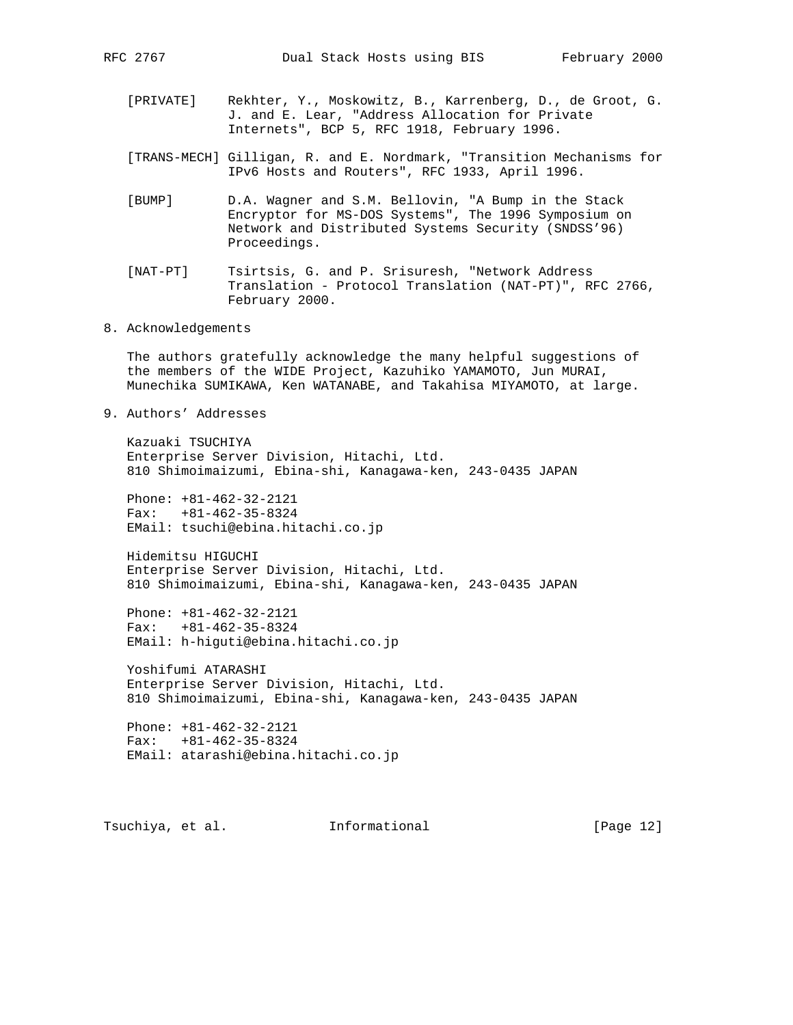- [PRIVATE] Rekhter, Y., Moskowitz, B., Karrenberg, D., de Groot, G. J. and E. Lear, "Address Allocation for Private Internets", BCP 5, RFC 1918, February 1996.
- [TRANS-MECH] Gilligan, R. and E. Nordmark, "Transition Mechanisms for IPv6 Hosts and Routers", RFC 1933, April 1996.
- [BUMP] D.A. Wagner and S.M. Bellovin, "A Bump in the Stack Encryptor for MS-DOS Systems", The 1996 Symposium on Network and Distributed Systems Security (SNDSS'96) Proceedings.
- [NAT-PT] Tsirtsis, G. and P. Srisuresh, "Network Address Translation - Protocol Translation (NAT-PT)", RFC 2766, February 2000.
- 8. Acknowledgements

 The authors gratefully acknowledge the many helpful suggestions of the members of the WIDE Project, Kazuhiko YAMAMOTO, Jun MURAI, Munechika SUMIKAWA, Ken WATANABE, and Takahisa MIYAMOTO, at large.

9. Authors' Addresses

 Kazuaki TSUCHIYA Enterprise Server Division, Hitachi, Ltd. 810 Shimoimaizumi, Ebina-shi, Kanagawa-ken, 243-0435 JAPAN

 Phone: +81-462-32-2121 Fax: +81-462-35-8324 EMail: tsuchi@ebina.hitachi.co.jp

 Hidemitsu HIGUCHI Enterprise Server Division, Hitachi, Ltd. 810 Shimoimaizumi, Ebina-shi, Kanagawa-ken, 243-0435 JAPAN

 Phone: +81-462-32-2121 Fax: +81-462-35-8324 EMail: h-higuti@ebina.hitachi.co.jp

 Yoshifumi ATARASHI Enterprise Server Division, Hitachi, Ltd. 810 Shimoimaizumi, Ebina-shi, Kanagawa-ken, 243-0435 JAPAN

 Phone: +81-462-32-2121 Fax: +81-462-35-8324 EMail: atarashi@ebina.hitachi.co.jp

Tsuchiya, et al. Informational [Page 12]